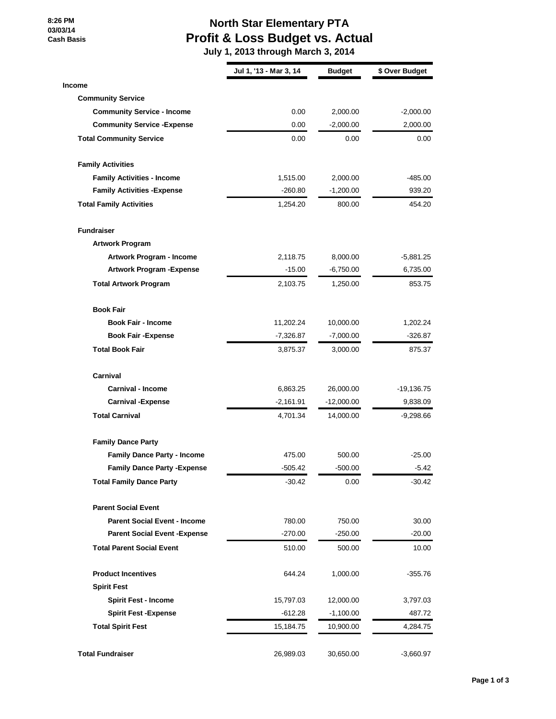**8:26 PM 03/03/14 Cash Basis**

# **North Star Elementary PTA Profit & Loss Budget vs. Actual**

 **July 1, 2013 through March 3, 2014**

|                                      | Jul 1, '13 - Mar 3, 14 | <b>Budget</b> | \$ Over Budget |
|--------------------------------------|------------------------|---------------|----------------|
| <b>Income</b>                        |                        |               |                |
| <b>Community Service</b>             |                        |               |                |
| <b>Community Service - Income</b>    | 0.00                   | 2,000.00      | $-2,000.00$    |
| <b>Community Service - Expense</b>   | 0.00                   | $-2,000.00$   | 2,000.00       |
| <b>Total Community Service</b>       | 0.00                   | 0.00          | 0.00           |
| <b>Family Activities</b>             |                        |               |                |
| <b>Family Activities - Income</b>    | 1,515.00               | 2,000.00      | -485.00        |
| <b>Family Activities - Expense</b>   | $-260.80$              | $-1,200.00$   | 939.20         |
| <b>Total Family Activities</b>       | 1,254.20               | 800.00        | 454.20         |
| <b>Fundraiser</b>                    |                        |               |                |
| <b>Artwork Program</b>               |                        |               |                |
| Artwork Program - Income             | 2,118.75               | 8,000.00      | $-5,881.25$    |
| <b>Artwork Program - Expense</b>     | $-15.00$               | $-6,750.00$   | 6,735.00       |
| <b>Total Artwork Program</b>         | 2,103.75               | 1,250.00      | 853.75         |
| <b>Book Fair</b>                     |                        |               |                |
| <b>Book Fair - Income</b>            | 11,202.24              | 10,000.00     | 1,202.24       |
| <b>Book Fair - Expense</b>           | $-7,326.87$            | $-7,000.00$   | $-326.87$      |
| <b>Total Book Fair</b>               | 3,875.37               | 3,000.00      | 875.37         |
| Carnival                             |                        |               |                |
| <b>Carnival - Income</b>             | 6,863.25               | 26,000.00     | $-19,136.75$   |
| <b>Carnival -Expense</b>             | -2,161.91              | $-12,000.00$  | 9,838.09       |
| <b>Total Carnival</b>                | 4,701.34               | 14,000.00     | $-9,298.66$    |
| <b>Family Dance Party</b>            |                        |               |                |
| <b>Family Dance Party - Income</b>   | 475.00                 | 500.00        | $-25.00$       |
| <b>Family Dance Party - Expense</b>  | $-505.42$              | $-500.00$     | $-5.42$        |
| <b>Total Family Dance Party</b>      | $-30.42$               | 0.00          | $-30.42$       |
| <b>Parent Social Event</b>           |                        |               |                |
| <b>Parent Social Event - Income</b>  | 780.00                 | 750.00        | 30.00          |
| <b>Parent Social Event - Expense</b> | $-270.00$              | $-250.00$     | $-20.00$       |
| <b>Total Parent Social Event</b>     | 510.00                 | 500.00        | 10.00          |
| <b>Product Incentives</b>            | 644.24                 | 1,000.00      | -355.76        |
| <b>Spirit Fest</b>                   |                        |               |                |
| <b>Spirit Fest - Income</b>          | 15,797.03              | 12,000.00     | 3,797.03       |
| <b>Spirit Fest -Expense</b>          | $-612.28$              | $-1,100.00$   | 487.72         |
| <b>Total Spirit Fest</b>             | 15,184.75              | 10,900.00     | 4,284.75       |
| <b>Total Fundraiser</b>              | 26,989.03              | 30,650.00     | $-3,660.97$    |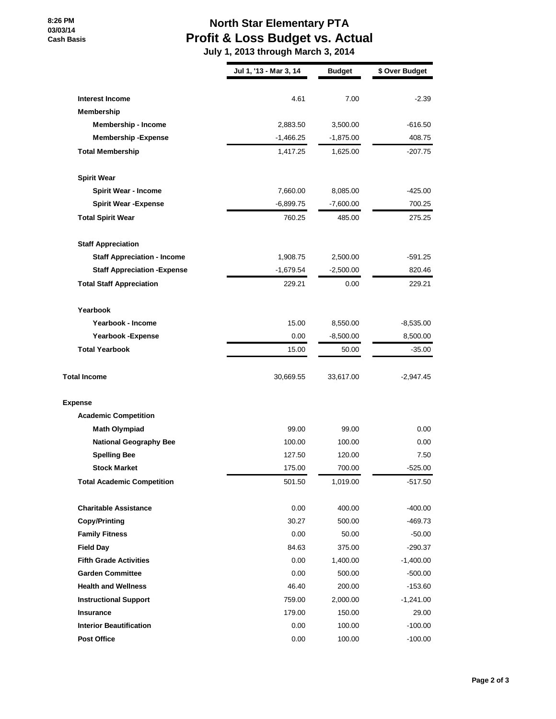#### **8:26 PM 03/03/14 Cash Basis**

# **North Star Elementary PTA Profit & Loss Budget vs. Actual**

 **July 1, 2013 through March 3, 2014**

|                                      | Jul 1, '13 - Mar 3, 14 | <b>Budget</b> | \$ Over Budget |
|--------------------------------------|------------------------|---------------|----------------|
|                                      |                        |               |                |
| <b>Interest Income</b><br>Membership | 4.61                   | 7.00          | $-2.39$        |
| <b>Membership - Income</b>           | 2,883.50               | 3,500.00      | $-616.50$      |
| <b>Membership - Expense</b>          | $-1,466.25$            | $-1,875.00$   | 408.75         |
| <b>Total Membership</b>              | 1,417.25               | 1,625.00      | $-207.75$      |
| <b>Spirit Wear</b>                   |                        |               |                |
| <b>Spirit Wear - Income</b>          | 7,660.00               | 8,085.00      | $-425.00$      |
| <b>Spirit Wear - Expense</b>         | $-6,899.75$            | $-7,600.00$   | 700.25         |
| <b>Total Spirit Wear</b>             | 760.25                 | 485.00        | 275.25         |
| <b>Staff Appreciation</b>            |                        |               |                |
| <b>Staff Appreciation - Income</b>   | 1,908.75               | 2,500.00      | -591.25        |
| <b>Staff Appreciation - Expense</b>  | $-1,679.54$            | $-2,500.00$   | 820.46         |
| <b>Total Staff Appreciation</b>      | 229.21                 | 0.00          | 229.21         |
| Yearbook                             |                        |               |                |
| Yearbook - Income                    | 15.00                  | 8,550.00      | $-8,535.00$    |
| Yearbook - Expense                   | 0.00                   | $-8,500.00$   | 8,500.00       |
| <b>Total Yearbook</b>                | 15.00                  | 50.00         | $-35.00$       |
| <b>Total Income</b>                  | 30,669.55              | 33,617.00     | -2,947.45      |
| <b>Expense</b>                       |                        |               |                |
| <b>Academic Competition</b>          |                        |               |                |
| <b>Math Olympiad</b>                 | 99.00                  | 99.00         | 0.00           |
| <b>National Geography Bee</b>        | 100.00                 | 100.00        | 0.00           |
| <b>Spelling Bee</b>                  | 127.50                 | 120.00        | 7.50           |
| <b>Stock Market</b>                  | 175.00                 | 700.00        | $-525.00$      |
| <b>Total Academic Competition</b>    | 501.50                 | 1,019.00      | $-517.50$      |
| <b>Charitable Assistance</b>         | 0.00                   | 400.00        | $-400.00$      |
| <b>Copy/Printing</b>                 | 30.27                  | 500.00        | -469.73        |
| <b>Family Fitness</b>                | 0.00                   | 50.00         | $-50.00$       |
| <b>Field Day</b>                     | 84.63                  | 375.00        | $-290.37$      |
| <b>Fifth Grade Activities</b>        | 0.00                   | 1,400.00      | -1,400.00      |
| <b>Garden Committee</b>              | 0.00                   | 500.00        | $-500.00$      |
| <b>Health and Wellness</b>           | 46.40                  | 200.00        | -153.60        |
| <b>Instructional Support</b>         | 759.00                 | 2,000.00      | -1,241.00      |
| <b>Insurance</b>                     | 179.00                 | 150.00        | 29.00          |
| <b>Interior Beautification</b>       | 0.00                   | 100.00        | $-100.00$      |
| <b>Post Office</b>                   | 0.00                   | 100.00        | $-100.00$      |